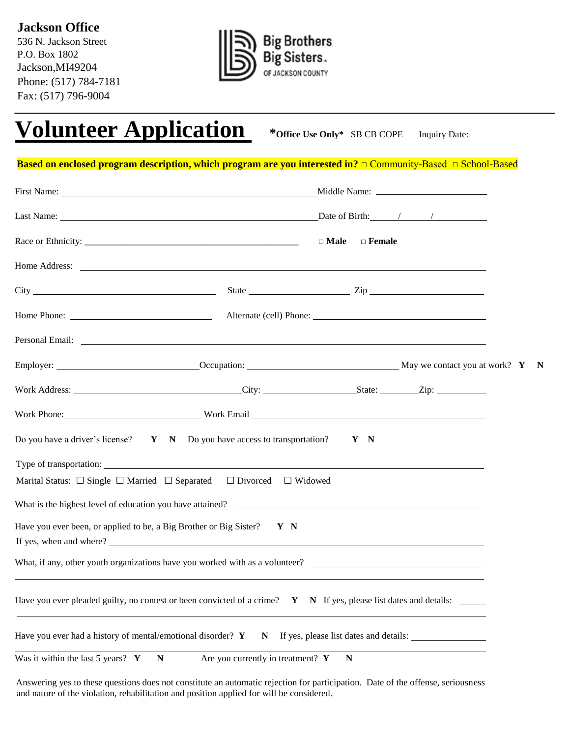**Jackson Office** 

536 N. Jackson Street P.O. Box 1802 Jackson,MI49204 Phone: (517) 784-7181 Fax: (517) 796-9004



# **Volunteer Application \*Office Use Only\*** SB CB COPE Inquiry Date:

**Based on enclosed program description, which program are you interested in?** □ Community-Based □ School-Based

|                                                                                                                                                                                                                                |                                     | $\Box$ Female<br>$\square$ Male        |  |  |
|--------------------------------------------------------------------------------------------------------------------------------------------------------------------------------------------------------------------------------|-------------------------------------|----------------------------------------|--|--|
|                                                                                                                                                                                                                                |                                     |                                        |  |  |
|                                                                                                                                                                                                                                |                                     |                                        |  |  |
|                                                                                                                                                                                                                                |                                     |                                        |  |  |
| Personal Email: New York Contract the Contract of the Contract of the Contract of the Contract of the Contract of the Contract of the Contract of the Contract of the Contract of the Contract of the Contract of the Contract |                                     |                                        |  |  |
|                                                                                                                                                                                                                                |                                     |                                        |  |  |
|                                                                                                                                                                                                                                |                                     |                                        |  |  |
| Work Phone: Work Email North Email North Phone 2014                                                                                                                                                                            |                                     |                                        |  |  |
| Do you have a driver's license? $Y \cap N$ Do you have access to transportation? $Y \cap N$                                                                                                                                    |                                     |                                        |  |  |
|                                                                                                                                                                                                                                |                                     |                                        |  |  |
| Marital Status: $\Box$ Single $\Box$ Married $\Box$ Separated $\Box$ Divorced $\Box$ Widowed                                                                                                                                   |                                     |                                        |  |  |
|                                                                                                                                                                                                                                |                                     |                                        |  |  |
| Have you ever been, or applied to be, a Big Brother or Big Sister? $Y \ N$                                                                                                                                                     |                                     |                                        |  |  |
| What, if any, other youth organizations have you worked with as a volunteer?                                                                                                                                                   |                                     |                                        |  |  |
| Have you ever pleaded guilty, no contest or been convicted of a crime? $Y \ N$ If yes, please list dates and details:                                                                                                          |                                     |                                        |  |  |
| Have you ever had a history of mental/emotional disorder? Y                                                                                                                                                                    | N                                   | If yes, please list dates and details: |  |  |
| Was it within the last 5 years? $Y$<br>$\mathbf N$                                                                                                                                                                             | Are you currently in treatment? $Y$ | N                                      |  |  |

Answering yes to these questions does not constitute an automatic rejection for participation. Date of the offense, seriousness and nature of the violation, rehabilitation and position applied for will be considered.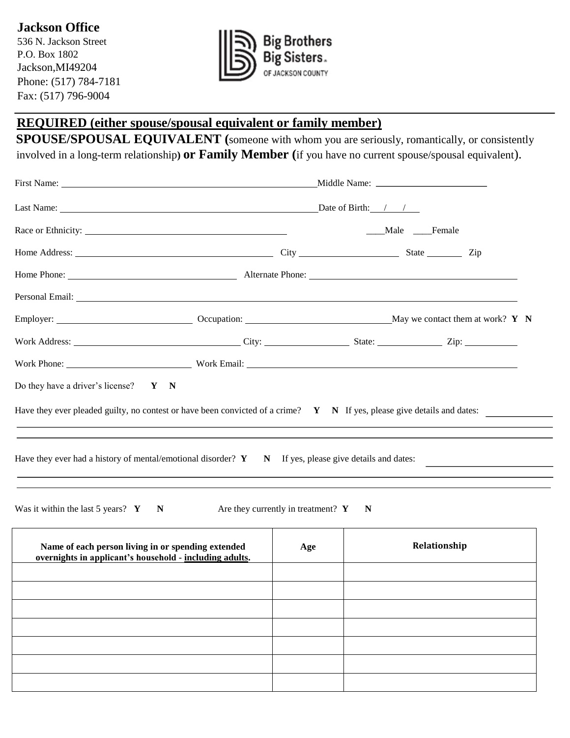536 N. Jackson Street P.O. Box 1802 Jackson,MI49204 Phone: (517) 784-7181 Fax: (517) 796-9004



# **REQUIRED (either spouse/spousal equivalent or family member)**

**SPOUSE/SPOUSAL EQUIVALENT (**someone with whom you are seriously, romantically, or consistently involved in a long-term relationship**) or Family Member (**if you have no current spouse/spousal equivalent).

|                                                                                                                                                                                                                                |                                                                                  |                                               | Male Female |              |  |
|--------------------------------------------------------------------------------------------------------------------------------------------------------------------------------------------------------------------------------|----------------------------------------------------------------------------------|-----------------------------------------------|-------------|--------------|--|
| Home Address: <u>Contract and City City</u> City City State State City City                                                                                                                                                    |                                                                                  |                                               |             |              |  |
|                                                                                                                                                                                                                                |                                                                                  |                                               |             |              |  |
| Personal Email: New York Contract the Contract of the Contract of the Contract of the Contract of the Contract of the Contract of the Contract of the Contract of the Contract of the Contract of the Contract of the Contract |                                                                                  |                                               |             |              |  |
|                                                                                                                                                                                                                                |                                                                                  |                                               |             |              |  |
|                                                                                                                                                                                                                                |                                                                                  |                                               |             |              |  |
|                                                                                                                                                                                                                                |                                                                                  |                                               |             |              |  |
| Do they have a driver's license? $Y \ N$                                                                                                                                                                                       |                                                                                  |                                               |             |              |  |
| Have they ever pleaded guilty, no contest or have been convicted of a crime? $Y \ N$ If yes, please give details and dates:                                                                                                    | ,我们也不会有什么。""我们的人,我们也不会有什么?""我们的人,我们也不会有什么?""我们的人,我们也不会有什么?""我们的人,我们也不会有什么?""我们的人 |                                               |             |              |  |
| Have they ever had a history of mental/emotional disorder? $\bf{Y}$ $\bf{N}$ If yes, please give details and dates:<br>Was it within the last 5 years? $Y \t N$                                                                |                                                                                  | Are they currently in treatment? $\mathbf{Y}$ | N           |              |  |
|                                                                                                                                                                                                                                |                                                                                  |                                               |             |              |  |
| Name of each person living in or spending extended<br>overnights in applicant's household - including adults.                                                                                                                  |                                                                                  | Age                                           |             | Relationship |  |
|                                                                                                                                                                                                                                |                                                                                  |                                               |             |              |  |
|                                                                                                                                                                                                                                |                                                                                  |                                               |             |              |  |
|                                                                                                                                                                                                                                |                                                                                  |                                               |             |              |  |
|                                                                                                                                                                                                                                |                                                                                  |                                               |             |              |  |
|                                                                                                                                                                                                                                |                                                                                  |                                               |             |              |  |
|                                                                                                                                                                                                                                |                                                                                  |                                               |             |              |  |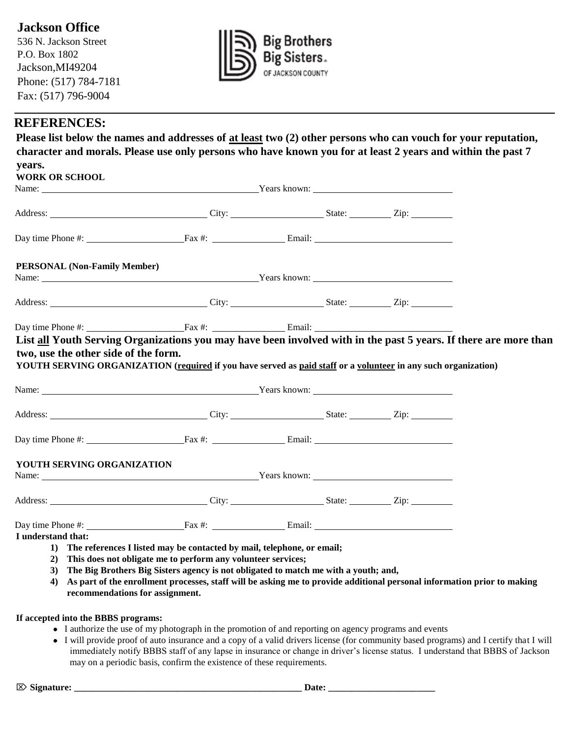# **Jackson Office**

536 N. Jackson Street P.O. Box 1802 Jackson,MI49204 Phone: (517) 784-7181 Fax: (517) 796-9004



#### **REFERENCES:**

| years.<br><b>WORK OR SCHOOL</b>                                                                                                                                                                                                                                                                                                                              |  |  |
|--------------------------------------------------------------------------------------------------------------------------------------------------------------------------------------------------------------------------------------------------------------------------------------------------------------------------------------------------------------|--|--|
| Name: <u>Name:</u> Name: News <sup>2</sup> Nears known: Nears known: Nears known: Nears known: Nears known: Near News <sup>2</sup> Nears known: News <sup>2</sup> Near News <sup>2</sup> Near News <sup>2</sup> Near News <sup>2</sup> Near News <sup>2</sup> Near News <sup>2</sup> News <sup>2</sup> News <sup>2</sup> News <sup>2</sup> News <sup>2</sup> |  |  |
| Address: <u>City:</u> City: City: State: City: City: City: City: City: City: City: City: City: City: City: City: City: City: City: City: City: City: City: City: City: City: City: City: City: City: City: City: City: City: City:                                                                                                                           |  |  |
| Day time Phone #: Fax #: Fax #: Email:                                                                                                                                                                                                                                                                                                                       |  |  |
| PERSONAL (Non-Family Member)                                                                                                                                                                                                                                                                                                                                 |  |  |
| Address: <u>City:</u> City: City: State: Zip: Zip:                                                                                                                                                                                                                                                                                                           |  |  |
| Day time Phone #: $\frac{Fax \#: x}{Fax \#: x}$ Email: $\frac{Fax}{Fax \#: x}$                                                                                                                                                                                                                                                                               |  |  |
| two, use the other side of the form.<br>YOUTH SERVING ORGANIZATION (required if you have served as paid staff or a volunteer in any such organization)                                                                                                                                                                                                       |  |  |
|                                                                                                                                                                                                                                                                                                                                                              |  |  |
| Address: <u>City: City: State: Zip:</u><br>Day time Phone #: Fax #: Fax #: Email:                                                                                                                                                                                                                                                                            |  |  |
| YOUTH SERVING ORGANIZATION<br>Name: Years known:                                                                                                                                                                                                                                                                                                             |  |  |
|                                                                                                                                                                                                                                                                                                                                                              |  |  |
| Day time Phone #: $\frac{Fax \#: x}{Fax \#: x}$ Email:<br>I understand that:                                                                                                                                                                                                                                                                                 |  |  |

#### **If accepted into the BBBS programs:**

- I authorize the use of my photograph in the promotion of and reporting on agency programs and events
- I will provide proof of auto insurance and a copy of a valid drivers license (for community based programs) and I certify that I will immediately notify BBBS staff of any lapse in insurance or change in driver's license status. I understand that BBBS of Jackson may on a periodic basis, confirm the existence of these requirements.

**Signature: \_\_\_\_\_\_\_\_\_\_\_\_\_\_\_\_\_\_\_\_\_\_\_\_\_\_\_\_\_\_\_\_\_\_\_\_\_\_\_\_\_\_\_\_\_\_\_\_\_ Date: \_\_\_\_\_\_\_\_\_\_\_\_\_\_\_\_\_\_\_\_\_\_\_**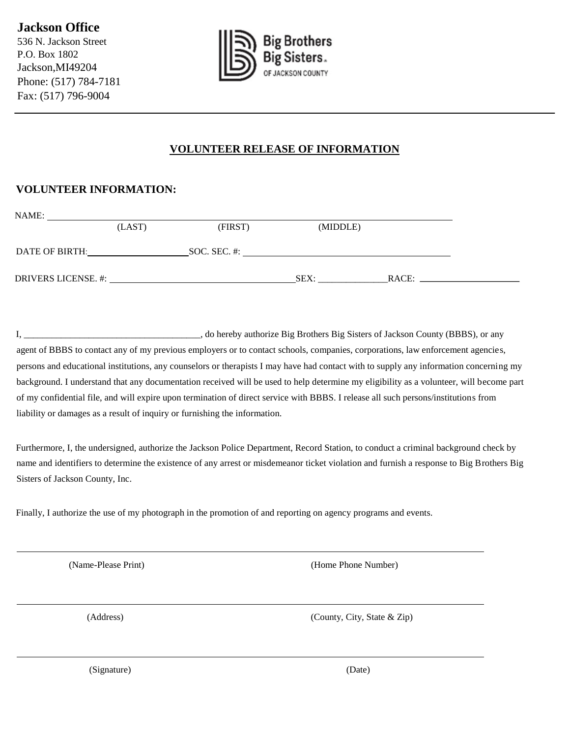536 N. Jackson Street P.O. Box 1802 Jackson,MI49204 Phone: (517) 784-7181 Fax: (517) 796-9004



#### **VOLUNTEER RELEASE OF INFORMATION**

#### **VOLUNTEER INFORMATION:**

| NAME:               |        |              |          |       |
|---------------------|--------|--------------|----------|-------|
|                     | (LAST) | (FIRST)      | (MIDDLE) |       |
|                     |        |              |          |       |
| DATE OF BIRTH:      |        | SOC. SEC. #: |          |       |
|                     |        |              |          |       |
| DRIVERS LICENSE. #: |        |              | SEX:     | RACE: |

I, \_\_\_\_\_\_\_\_\_\_\_\_\_\_\_\_\_\_\_\_\_\_\_\_\_\_\_\_\_\_\_\_\_\_\_\_\_\_, do hereby authorize Big Brothers Big Sisters of Jackson County (BBBS), or any agent of BBBS to contact any of my previous employers or to contact schools, companies, corporations, law enforcement agencies, persons and educational institutions, any counselors or therapists I may have had contact with to supply any information concerning my background. I understand that any documentation received will be used to help determine my eligibility as a volunteer, will become part of my confidential file, and will expire upon termination of direct service with BBBS. I release all such persons/institutions from liability or damages as a result of inquiry or furnishing the information.

Furthermore, I, the undersigned, authorize the Jackson Police Department, Record Station, to conduct a criminal background check by name and identifiers to determine the existence of any arrest or misdemeanor ticket violation and furnish a response to Big Brothers Big Sisters of Jackson County, Inc.

Finally, I authorize the use of my photograph in the promotion of and reporting on agency programs and events.

(Name-Please Print) (Home Phone Number)

(Address) (County, City, State & Zip)

(Signature) (Date)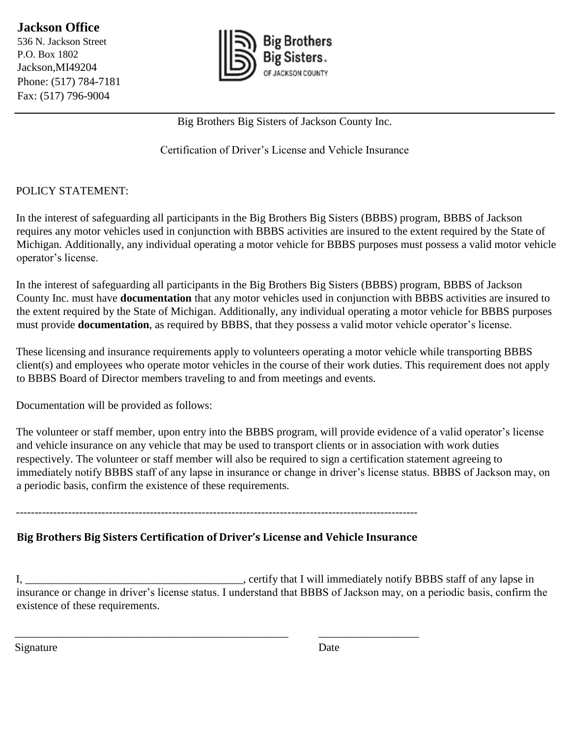**Jackson Office**  536 N. Jackson Street P.O. Box 1802 Jackson,MI49204 Phone: (517) 784-7181 Fax: (517) 796-9004



Big Brothers Big Sisters of Jackson County Inc.

Certification of Driver's License and Vehicle Insurance

#### POLICY STATEMENT:

In the interest of safeguarding all participants in the Big Brothers Big Sisters (BBBS) program, BBBS of Jackson requires any motor vehicles used in conjunction with BBBS activities are insured to the extent required by the State of Michigan. Additionally, any individual operating a motor vehicle for BBBS purposes must possess a valid motor vehicle operator's license.

In the interest of safeguarding all participants in the Big Brothers Big Sisters (BBBS) program, BBBS of Jackson County Inc. must have **documentation** that any motor vehicles used in conjunction with BBBS activities are insured to the extent required by the State of Michigan. Additionally, any individual operating a motor vehicle for BBBS purposes must provide **documentation**, as required by BBBS, that they possess a valid motor vehicle operator's license.

These licensing and insurance requirements apply to volunteers operating a motor vehicle while transporting BBBS client(s) and employees who operate motor vehicles in the course of their work duties. This requirement does not apply to BBBS Board of Director members traveling to and from meetings and events.

Documentation will be provided as follows:

The volunteer or staff member, upon entry into the BBBS program, will provide evidence of a valid operator's license and vehicle insurance on any vehicle that may be used to transport clients or in association with work duties respectively. The volunteer or staff member will also be required to sign a certification statement agreeing to immediately notify BBBS staff of any lapse in insurance or change in driver's license status. BBBS of Jackson may, on a periodic basis, confirm the existence of these requirements.

------------------------------------------------------------------------------------------------------------

# **Big Brothers Big Sisters Certification of Driver's License and Vehicle Insurance**

\_\_\_\_\_\_\_\_\_\_\_\_\_\_\_\_\_\_\_\_\_\_\_\_\_\_\_\_\_\_\_\_\_\_\_\_\_\_\_\_\_\_\_\_\_\_\_\_\_ \_\_\_\_\_\_\_\_\_\_\_\_\_\_\_\_\_\_

I, \_\_\_\_\_\_\_\_\_\_\_\_\_\_\_\_\_\_\_\_\_\_\_\_\_\_\_\_\_\_\_\_\_\_\_, certify that I will immediately notify BBBS staff of any lapse in insurance or change in driver's license status. I understand that BBBS of Jackson may, on a periodic basis, confirm the existence of these requirements.

Signature Date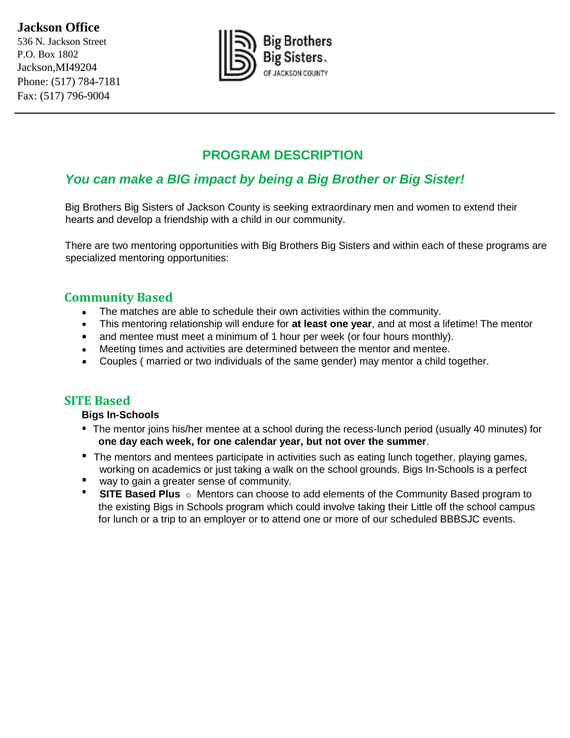# **Jackson Office**

536 N. Jackson Street P.O. Box 1802 Jackson,MI49204 Phone: (517) 784-7181 Fax: (517) 796-9004



# **PROGRAM DESCRIPTION**

# *You can make a BIG impact by being a Big Brother or Big Sister!*

Big Brothers Big Sisters of Jackson County is seeking extraordinary men and women to extend their hearts and develop a friendship with a child in our community.

There are two mentoring opportunities with Big Brothers Big Sisters and within each of these programs are specialized mentoring opportunities:

#### **Community Based**

- The matches are able to schedule their own activities within the community.
- This mentoring relationship will endure for **at least one year**, and at most a lifetime! The mentor
- and mentee must meet a minimum of 1 hour per week (or four hours monthly).
- Meeting times and activities are determined between the mentor and mentee.
- Couples ( married or two individuals of the same gender) may mentor a child together.

#### **SITE Based**

#### **Bigs In-Schools**

- The mentor joins his/her mentee at a school during the recess-lunch period (usually 40 minutes) for **one day each week, for one calendar year, but not over the summer**.
- The mentors and mentees participate in activities such as eating lunch together, playing games, working on academics or just taking a walk on the school grounds. Bigs In-Schools is a perfect
- way to gain a greater sense of community.
- **SITE Based Plus** o Mentors can choose to add elements of the Community Based program to the existing Bigs in Schools program which could involve taking their Little off the school campus for lunch or a trip to an employer or to attend one or more of our scheduled BBBSJC events.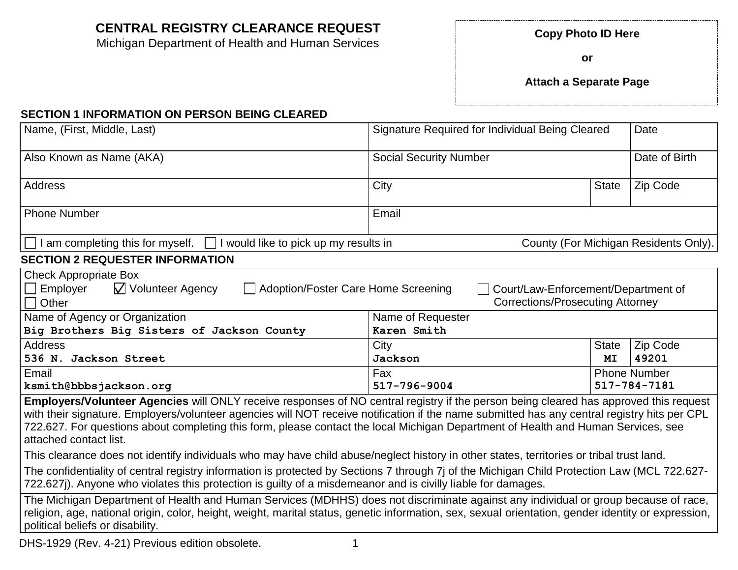# **CENTRAL REGISTRY CLEARANCE REQUEST Copy Photo ID Here**

Michigan Department of Health and Human Services

**or**

**Attach a Separate Page**

#### **SECTION 1 INFORMATION ON PERSON BEING CLEARED**

| Name, (First, Middle, Last)                                                                                                                                                                                                                                                                                                                                                                                                                          | Signature Required for Individual Being Cleared                                |              | Date                                  |  |  |
|------------------------------------------------------------------------------------------------------------------------------------------------------------------------------------------------------------------------------------------------------------------------------------------------------------------------------------------------------------------------------------------------------------------------------------------------------|--------------------------------------------------------------------------------|--------------|---------------------------------------|--|--|
| Also Known as Name (AKA)                                                                                                                                                                                                                                                                                                                                                                                                                             | <b>Social Security Number</b>                                                  |              | Date of Birth                         |  |  |
| Address                                                                                                                                                                                                                                                                                                                                                                                                                                              | City                                                                           | <b>State</b> | Zip Code                              |  |  |
| <b>Phone Number</b>                                                                                                                                                                                                                                                                                                                                                                                                                                  | Email                                                                          |              |                                       |  |  |
| am completing this for myself.<br>I would like to pick up my results in                                                                                                                                                                                                                                                                                                                                                                              |                                                                                |              | County (For Michigan Residents Only). |  |  |
| <b>SECTION 2 REQUESTER INFORMATION</b>                                                                                                                                                                                                                                                                                                                                                                                                               |                                                                                |              |                                       |  |  |
| <b>Check Appropriate Box</b><br>$\sqrt{}$ Volunteer Agency<br>Adoption/Foster Care Home Screening<br>Employer<br>Other                                                                                                                                                                                                                                                                                                                               | Court/Law-Enforcement/Department of<br><b>Corrections/Prosecuting Attorney</b> |              |                                       |  |  |
| Name of Agency or Organization                                                                                                                                                                                                                                                                                                                                                                                                                       | Name of Requester                                                              |              |                                       |  |  |
| Big Brothers Big Sisters of Jackson County                                                                                                                                                                                                                                                                                                                                                                                                           | Karen Smith                                                                    |              |                                       |  |  |
| <b>Address</b>                                                                                                                                                                                                                                                                                                                                                                                                                                       | City                                                                           | <b>State</b> | Zip Code                              |  |  |
| 536 N. Jackson Street                                                                                                                                                                                                                                                                                                                                                                                                                                | Jackson                                                                        | MI           | 49201                                 |  |  |
| Email                                                                                                                                                                                                                                                                                                                                                                                                                                                | Fax                                                                            |              | <b>Phone Number</b>                   |  |  |
| 517-784-7181<br>517-796-9004<br>ksmith@bbbsjackson.org                                                                                                                                                                                                                                                                                                                                                                                               |                                                                                |              |                                       |  |  |
| Employers/Volunteer Agencies will ONLY receive responses of NO central registry if the person being cleared has approved this request<br>with their signature. Employers/volunteer agencies will NOT receive notification if the name submitted has any central registry hits per CPL<br>722.627. For questions about completing this form, please contact the local Michigan Department of Health and Human Services, see<br>attached contact list. |                                                                                |              |                                       |  |  |
| This clearance does not identify individuals who may have child abuse/neglect history in other states, territories or tribal trust land.                                                                                                                                                                                                                                                                                                             |                                                                                |              |                                       |  |  |
| The confidentiality of central registry information is protected by Sections 7 through 7j of the Michigan Child Protection Law (MCL 722.627-<br>722.627j). Anyone who violates this protection is guilty of a misdemeanor and is civilly liable for damages.                                                                                                                                                                                         |                                                                                |              |                                       |  |  |
| The Michigan Department of Health and Human Services (MDHHS) does not discriminate against any individual or group because of race,<br>religion, age, national origin, color, height, weight, marital status, genetic information, sex, sexual orientation, gender identity or expression,<br>political beliefs or disability.                                                                                                                       |                                                                                |              |                                       |  |  |

DHS-1929 (Rev. 4-21) Previous edition obsolete. 1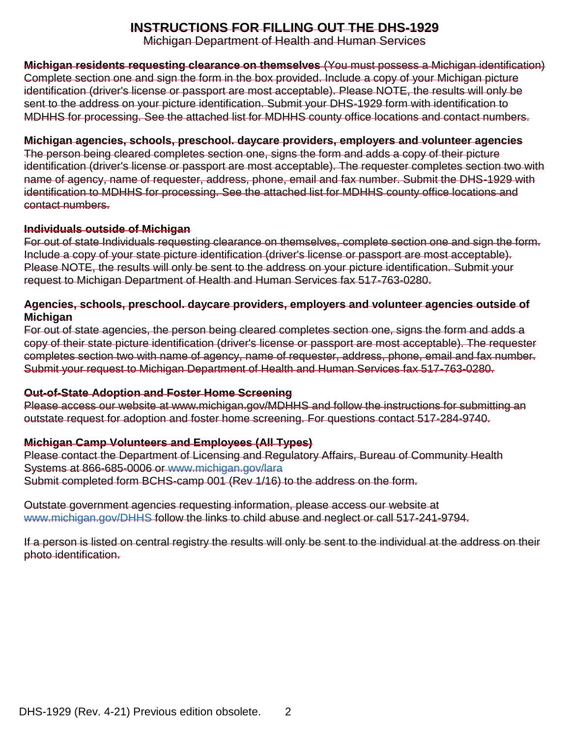### **INSTRUCTIONS FOR FILLING OUT THE DHS-1929**

Michigan Department of Health and Human Services

**Michigan residents requesting clearance on themselves** (You must possess a Michigan identification) Complete section one and sign the form in the box provided. Include a copy of your Michigan picture identification (driver's license or passport are most acceptable). Please NOTE, the results will only be sent to the address on your picture identification. Submit your DHS-1929 form with identification to MDHHS for processing. See the attached list for MDHHS county office locations and contact numbers.

#### **Michigan agencies, schools, preschool. daycare providers, employers and volunteer agencies**

The person being cleared completes section one, signs the form and adds a copy of their picture identification (driver's license or passport are most acceptable). The requester completes section two with name of agency, name of requester, address, phone, email and fax number. Submit the DHS-1929 with identification to MDHHS for processing. See the attached list for MDHHS county office locations and contact numbers.

#### **Individuals outside of Michigan**

For out of state Individuals requesting clearance on themselves, complete section one and sign the form. Include a copy of your state picture identification (driver's license or passport are most acceptable). Please NOTE, the results will only be sent to the address on your picture identification. Submit your request to Michigan Department of Health and Human Services fax 517-763-0280.

#### **Agencies, schools, preschool. daycare providers, employers and volunteer agencies outside of Michigan**

For out of state agencies, the person being cleared completes section one, signs the form and adds a copy of their state picture identification (driver's license or passport are most acceptable). The requester completes section two with name of agency, name of requester, address, phone, email and fax number. Submit your request to Michigan Department of Health and Human Services fax 517-763-0280.

#### **Out-of-State Adoption and Foster Home Screening**

Please access our website at www.michigan.gov/MDHHS and follow the instructions for submitting an outstate request for adoption and foster home screening. For questions contact 517-284-9740.

#### **Michigan Camp Volunteers and Employees (All Types)**

Please contact the Department of Licensing and Regulatory Affairs, Bureau of Community Health Systems at 866-685-0006 or [www.michigan.gov/lara](http://www.michigan.gov/lara) Submit completed form BCHS-camp 001 (Rev 1/16) to the address on the form.

Outstate government agencies requesting information, please access our website at [www.michigan.gov/DHHS](http://www.michigan.gov/DHHS) follow the links to child abuse and neglect or call 517-241-9794.

If a person is listed on central registry the results will only be sent to the individual at the address on their photo identification.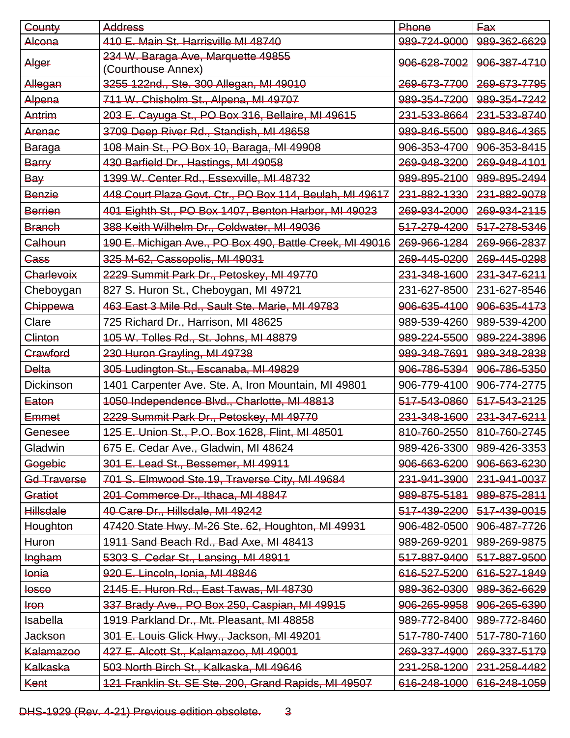| County           | <b>Address</b>                                           | Phone        | <b>Fax</b>   |
|------------------|----------------------------------------------------------|--------------|--------------|
| Alcona           | 410 E. Main St. Harrisville MI 48740                     | 989-724-9000 | 989-362-6629 |
| Alger            | 234 W. Baraga Ave, Marquette 49855<br>(Courthouse Annex) | 906-628-7002 | 906-387-4710 |
| Allegan          | 3255 122nd., Ste. 300 Allegan, MI 49010                  | 269-673-7700 | 269-673-7795 |
| Alpena           | 711 W. Chisholm St., Alpena, MI 49707                    | 989-354-7200 | 989-354-7242 |
| Antrim           | 203 E. Cayuga St., PO Box 316, Bellaire, MI 49615        | 231-533-8664 | 231-533-8740 |
| Arenac           | 3709 Deep River Rd., Standish, MI 48658                  | 989-846-5500 | 989-846-4365 |
| <b>Baraga</b>    | 108 Main St., PO Box 10, Baraga, MI 49908                | 906-353-4700 | 906-353-8415 |
| Barry            | 430 Barfield Dr., Hastings, MI 49058                     | 269-948-3200 | 269-948-4101 |
| <b>Bay</b>       | 1399 W. Center Rd., Essexville, MI 48732                 | 989-895-2100 | 989-895-2494 |
| Benzie           | 448 Court Plaza Govt. Ctr., PO Box 114, Beulah, MI 49617 | 231-882-1330 | 231-882-9078 |
| Berrien          | 401 Eighth St., PO Box 1407, Benton Harbor, MI 49023     | 269-934-2000 | 269-934-2115 |
| <b>Branch</b>    | 388 Keith Wilhelm Dr., Coldwater, MI 49036               | 517-279-4200 | 517-278-5346 |
| Calhoun          | 190 E. Michigan Ave., PO Box 490, Battle Creek, MI 49016 | 269-966-1284 | 269-966-2837 |
| Cass             | 325 M-62, Cassopolis, MI 49031                           | 269-445-0200 | 269-445-0298 |
| Charlevoix       | 2229 Summit Park Dr., Petoskey, MI 49770                 | 231-348-1600 | 231-347-6211 |
| Cheboygan        | 827 S. Huron St., Cheboygan, MI 49721                    | 231-627-8500 | 231-627-8546 |
| Chippewa         | 463 East 3 Mile Rd., Sault Ste. Marie, MI 49783          | 906-635-4100 | 906-635-4173 |
| Clare            | 725 Richard Dr., Harrison, MI 48625                      | 989-539-4260 | 989-539-4200 |
| Clinton          | 105 W. Tolles Rd., St. Johns, MI 48879                   | 989-224-5500 | 989-224-3896 |
| Crawford         | 230 Huron Grayling, MI 49738                             | 989-348-7691 | 989-348-2838 |
| <b>Delta</b>     | 305 Ludington St., Escanaba, MI 49829                    | 906-786-5394 | 906-786-5350 |
| <b>Dickinson</b> | 1401 Carpenter Ave. Ste. A, Iron Mountain, MI 49801      | 906-779-4100 | 906-774-2775 |
| Eaton            | 1050 Independence Blvd., Charlotte, MI 48813             | 517-543-0860 | 517-543-2125 |
| Emmet            | 2229 Summit Park Dr., Petoskey, MI 49770                 | 231-348-1600 | 231-347-6211 |
| Genesee          | 125 E. Union St., P.O. Box 1628, Flint, MI 48501         | 810-760-2550 | 810-760-2745 |
| Gladwin          | 675 E. Cedar Ave., Gladwin, MI 48624                     | 989-426-3300 | 989-426-3353 |
| Gogebic          | 301 E. Lead St., Bessemer, MI 49911                      | 906-663-6200 | 906-663-6230 |
| Gd Traverse      | 701 S. Elmwood Ste.19, Traverse City, MI 49684           | 231-941-3900 | 231-941-0037 |
| Gratiot          | 201 Commerce Dr., Ithaca, MI 48847                       | 989-875-5181 | 989-875-2811 |
| <b>Hillsdale</b> | 40 Care Dr., Hillsdale, MI 49242                         | 517-439-2200 | 517-439-0015 |
| Houghton         | 47420 State Hwy. M-26 Ste. 62, Houghton, MI 49931        | 906-482-0500 | 906-487-7726 |
| <b>Huron</b>     | 1911 Sand Beach Rd., Bad Axe, MI 48413                   | 989-269-9201 | 989-269-9875 |
| Ingham           | 5303 S. Cedar St., Lansing, MI 48911                     | 517-887-9400 | 517-887-9500 |
| <b>Jonia</b>     | 920 E. Lincoln, Ionia, MI 48846                          | 616-527-5200 | 616-527-1849 |
| <b>losco</b>     | 2145 E. Huron Rd., East Tawas, MI 48730                  | 989-362-0300 | 989-362-6629 |
| <b>Iron</b>      | 337 Brady Ave., PO Box 250, Caspian, MI 49915            | 906-265-9958 | 906-265-6390 |
| <b>Isabella</b>  | 1919 Parkland Dr., Mt. Pleasant, MI 48858                | 989-772-8400 | 989-772-8460 |
| <b>Jackson</b>   | 301 E. Louis Glick Hwy., Jackson, MI 49201               | 517-780-7400 | 517-780-7160 |
| <b>Kalamazoo</b> | 427 E. Alcott St., Kalamazoo, MI 49001                   | 269-337-4900 | 269-337-5179 |
| <b>Kalkaska</b>  | 503 North Birch St., Kalkaska, MI 49646                  | 231-258-1200 | 231-258-4482 |
| Kent             | 121 Franklin St. SE Ste. 200, Grand Rapids, MI 49507     | 616-248-1000 | 616-248-1059 |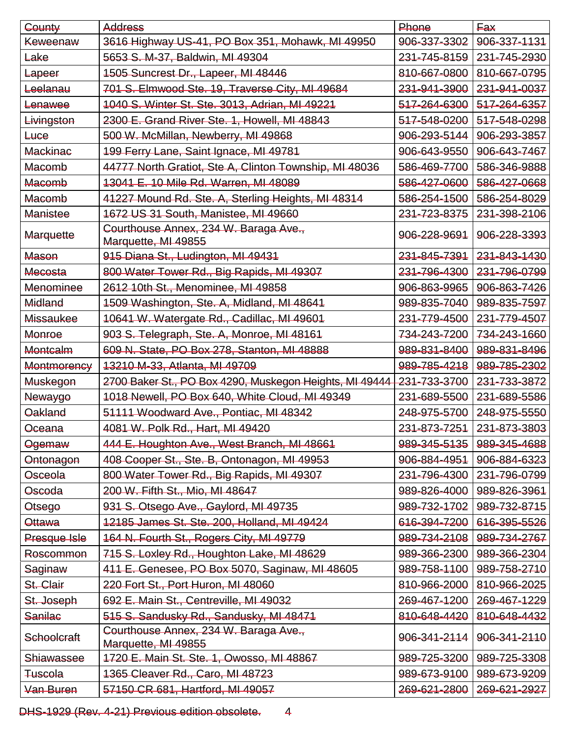| County             | <b>Address</b>                                               | Phone        | <b>Eax</b>   |
|--------------------|--------------------------------------------------------------|--------------|--------------|
| Keweenaw           | 3616 Highway US-41, PO Box 351, Mohawk, MI 49950             | 906-337-3302 | 906-337-1131 |
| Lake               | 5653 S. M-37, Baldwin, MI 49304                              | 231-745-8159 | 231-745-2930 |
| Lapeer             | 1505 Suncrest Dr., Lapeer, MI 48446                          | 810-667-0800 | 810-667-0795 |
| Leelanau           | 701 S. Elmwood Ste. 19, Traverse City, MI 49684              | 231-941-3900 | 231-941-0037 |
| Lenawee            | 1040 S. Winter St. Ste. 3013, Adrian, MI 49221               | 517-264-6300 | 517-264-6357 |
| Livingston         | 2300 E. Grand River Ste. 1, Howell, MI 48843                 | 517-548-0200 | 517-548-0298 |
| <b>Luce</b>        | 500 W. McMillan, Newberry, MI 49868                          | 906-293-5144 | 906-293-3857 |
| <b>Mackinac</b>    | 199 Ferry Lane, Saint Ignace, MI 49781                       | 906-643-9550 | 906-643-7467 |
| Macomb             | 44777 North Gratiot, Ste A, Clinton Township, MI 48036       | 586-469-7700 | 586-346-9888 |
| Macomb             | 13041 E. 10 Mile Rd. Warren, MI 48089                        | 586-427-0600 | 586-427-0668 |
| Macomb             | 41227 Mound Rd. Ste. A, Sterling Heights, MI 48314           | 586-254-1500 | 586-254-8029 |
| Manistee           | 1672 US 31 South, Manistee, MI 49660                         | 231-723-8375 | 231-398-2106 |
| Marquette          | Courthouse Annex, 234 W. Baraga Ave.,<br>Marquette, MI 49855 | 906-228-9691 | 906-228-3393 |
| Mason              | 915 Diana St., Ludington, MI 49431                           | 231-845-7391 | 231-843-1430 |
| Mecosta            | 800 Water Tower Rd., Big Rapids, MI 49307                    | 231-796-4300 | 231-796-0799 |
| Menominee          | 2612 10th St., Menominee, MI 49858                           | 906-863-9965 | 906-863-7426 |
| Midland            | 1509 Washington, Ste. A, Midland, MI 48641                   | 989-835-7040 | 989-835-7597 |
| Missaukee          | 10641 W. Watergate Rd., Cadillac, MI 49601                   | 231-779-4500 | 231-779-4507 |
| Monroe             | 903 S. Telegraph, Ste. A, Monroe, MI 48161                   | 734-243-7200 | 734-243-1660 |
| Montcalm           | 609 N. State, PO Box 278, Stanton, MI 48888                  | 989-831-8400 | 989-831-8496 |
| Montmorency        | 13210 M-33, Atlanta, MI 49709                                | 989-785-4218 | 989-785-2302 |
| Muskegon           | 2700 Baker St., PO Box 4290, Muskegon Heights, MI 49444      | 231-733-3700 | 231-733-3872 |
| Newaygo            | 1018 Newell, PO Box 640, White Cloud, MI 49349               | 231-689-5500 | 231-689-5586 |
| <b>Oakland</b>     | 51111 Woodward Ave., Pontiac, MI 48342                       | 248-975-5700 | 248-975-5550 |
| Oceana             | 4081 W. Polk Rd., Hart, MI 49420                             | 231-873-7251 | 231-873-3803 |
| Ogemaw             | 444 E. Houghton Ave., West Branch, MI 48661                  | 989-345-5135 | 989-345-4688 |
| Ontonagon          | 408 Cooper St., Ste. B, Ontonagon, MI 49953                  | 906-884-4951 | 906-884-6323 |
| Osceola            | 800 Water Tower Rd., Big Rapids, MI 49307                    | 231-796-4300 | 231-796-0799 |
| Oscoda             | 200 W. Fifth St., Mio, MI 48647                              | 989-826-4000 | 989-826-3961 |
| Otsego             | 931 S. Otsego Ave., Gaylord, MI 49735                        | 989-732-1702 | 989-732-8715 |
| Ottawa             | 12185 James St. Ste. 200, Holland, MI 49424                  | 616-394-7200 | 616-395-5526 |
| Presque Isle       | 164 N. Fourth St., Rogers City, MI 49779                     | 989-734-2108 | 989-734-2767 |
| Roscommon          | 715 S. Loxley Rd., Houghton Lake, MI 48629                   | 989-366-2300 | 989-366-2304 |
| Saginaw            | 411 E. Genesee, PO Box 5070, Saginaw, MI 48605               | 989-758-1100 | 989-758-2710 |
| St. Clair          | 220 Fort St., Port Huron, MI 48060                           | 810-966-2000 | 810-966-2025 |
| St. Joseph         | 692 E. Main St., Centreville, MI 49032                       | 269-467-1200 | 269-467-1229 |
| <b>Sanilac</b>     | 515 S. Sandusky Rd., Sandusky, MI 48471                      | 810-648-4420 | 810-648-4432 |
| <b>Schoolcraft</b> | Courthouse Annex, 234 W. Baraga Ave.,<br>Marquette, MI 49855 | 906-341-2114 | 906-341-2110 |
| Shiawassee         | 1720 E. Main St. Ste. 1, Owosso, MI 48867                    | 989-725-3200 | 989-725-3308 |
| <b>Tuscola</b>     | 1365 Cleaver Rd., Caro, MI 48723                             | 989-673-9100 | 989-673-9209 |
| Van Buren          | 57150 CR 681, Hartford, MI 49057                             | 269-621-2800 | 269-621-2927 |

DHS-1929 (Rev. 4-21) Previous edition obsolete. 4